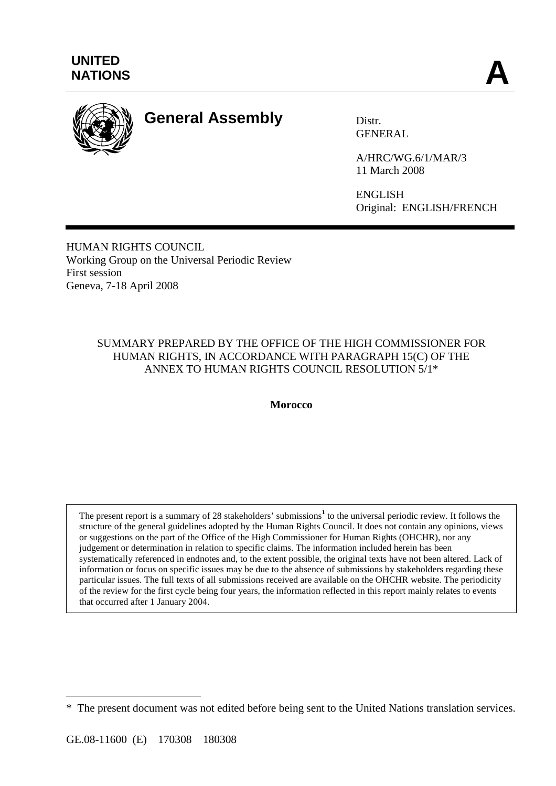

## **General Assembly** Distr.

GENERAL

A/HRC/WG.6/1/MAR/3 11 March 2008

ENGLISH Original: ENGLISH/FRENCH

HUMAN RIGHTS COUNCIL Working Group on the Universal Periodic Review First session Geneva, 7-18 April 2008

#### SUMMARY PREPARED BY THE OFFICE OF THE HIGH COMMISSIONER FOR HUMAN RIGHTS, IN ACCORDANCE WITH PARAGRAPH 15(C) OF THE ANNEX TO HUMAN RIGHTS COUNCIL RESOLUTION 5/1\*

**Morocco** 

The present report is a summary of 28 stakeholders' submissions<sup>1</sup> to the universal periodic review. It follows the structure of the general guidelines adopted by the Human Rights Council. It does not contain any opinions, views or suggestions on the part of the Office of the High Commissioner for Human Rights (OHCHR), nor any judgement or determination in relation to specific claims. The information included herein has been systematically referenced in endnotes and, to the extent possible, the original texts have not been altered. Lack of information or focus on specific issues may be due to the absence of submissions by stakeholders regarding these particular issues. The full texts of all submissions received are available on the OHCHR website. The periodicity of the review for the first cycle being four years, the information reflected in this report mainly relates to events that occurred after 1 January 2004.

 $\overline{a}$ 

<sup>\*</sup> The present document was not edited before being sent to the United Nations translation services.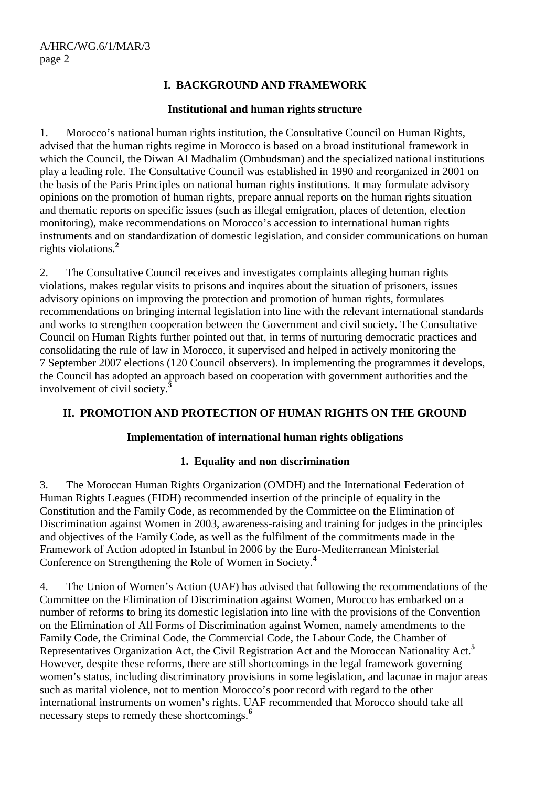#### **I. BACKGROUND AND FRAMEWORK**

#### **Institutional and human rights structure**

1. Morocco's national human rights institution, the Consultative Council on Human Rights, advised that the human rights regime in Morocco is based on a broad institutional framework in which the Council, the Diwan Al Madhalim (Ombudsman) and the specialized national institutions play a leading role. The Consultative Council was established in 1990 and reorganized in 2001 on the basis of the Paris Principles on national human rights institutions. It may formulate advisory opinions on the promotion of human rights, prepare annual reports on the human rights situation and thematic reports on specific issues (such as illegal emigration, places of detention, election monitoring), make recommendations on Morocco's accession to international human rights instruments and on standardization of domestic legislation, and consider communications on human rights violations.**<sup>2</sup>**

2. The Consultative Council receives and investigates complaints alleging human rights violations, makes regular visits to prisons and inquires about the situation of prisoners, issues advisory opinions on improving the protection and promotion of human rights, formulates recommendations on bringing internal legislation into line with the relevant international standards and works to strengthen cooperation between the Government and civil society. The Consultative Council on Human Rights further pointed out that, in terms of nurturing democratic practices and consolidating the rule of law in Morocco, it supervised and helped in actively monitoring the 7 September 2007 elections (120 Council observers). In implementing the programmes it develops, the Council has adopted an approach based on cooperation with government authorities and the involvement of civil society.**<sup>3</sup>**

#### **II. PROMOTION AND PROTECTION OF HUMAN RIGHTS ON THE GROUND**

#### **Implementation of international human rights obligations**

#### **1. Equality and non discrimination**

3. The Moroccan Human Rights Organization (OMDH) and the International Federation of Human Rights Leagues (FIDH) recommended insertion of the principle of equality in the Constitution and the Family Code, as recommended by the Committee on the Elimination of Discrimination against Women in 2003, awareness-raising and training for judges in the principles and objectives of the Family Code, as well as the fulfilment of the commitments made in the Framework of Action adopted in Istanbul in 2006 by the Euro-Mediterranean Ministerial Conference on Strengthening the Role of Women in Society.**<sup>4</sup>**

4. The Union of Women's Action (UAF) has advised that following the recommendations of the Committee on the Elimination of Discrimination against Women, Morocco has embarked on a number of reforms to bring its domestic legislation into line with the provisions of the Convention on the Elimination of All Forms of Discrimination against Women, namely amendments to the Family Code, the Criminal Code, the Commercial Code, the Labour Code, the Chamber of Representatives Organization Act, the Civil Registration Act and the Moroccan Nationality Act.**<sup>5</sup>** However, despite these reforms, there are still shortcomings in the legal framework governing women's status, including discriminatory provisions in some legislation, and lacunae in major areas such as marital violence, not to mention Morocco's poor record with regard to the other international instruments on women's rights. UAF recommended that Morocco should take all necessary steps to remedy these shortcomings.**<sup>6</sup>**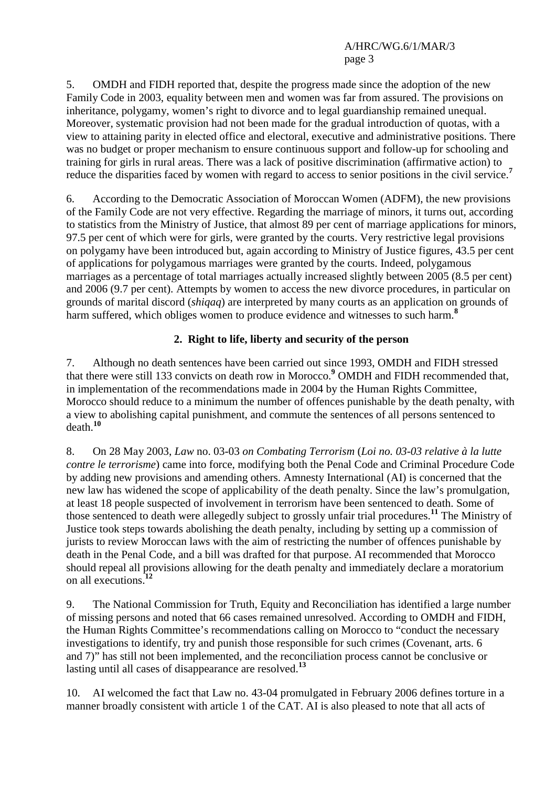5. OMDH and FIDH reported that, despite the progress made since the adoption of the new Family Code in 2003, equality between men and women was far from assured. The provisions on inheritance, polygamy, women's right to divorce and to legal guardianship remained unequal. Moreover, systematic provision had not been made for the gradual introduction of quotas, with a view to attaining parity in elected office and electoral, executive and administrative positions. There was no budget or proper mechanism to ensure continuous support and follow-up for schooling and training for girls in rural areas. There was a lack of positive discrimination (affirmative action) to reduce the disparities faced by women with regard to access to senior positions in the civil service.**<sup>7</sup>**

6. According to the Democratic Association of Moroccan Women (ADFM), the new provisions of the Family Code are not very effective. Regarding the marriage of minors, it turns out, according to statistics from the Ministry of Justice, that almost 89 per cent of marriage applications for minors, 97.5 per cent of which were for girls, were granted by the courts. Very restrictive legal provisions on polygamy have been introduced but, again according to Ministry of Justice figures, 43.5 per cent of applications for polygamous marriages were granted by the courts. Indeed, polygamous marriages as a percentage of total marriages actually increased slightly between 2005 (8.5 per cent) and 2006 (9.7 per cent). Attempts by women to access the new divorce procedures, in particular on grounds of marital discord (*shiqaq*) are interpreted by many courts as an application on grounds of harm suffered, which obliges women to produce evidence and witnesses to such harm.**<sup>8</sup>**

#### **2. Right to life, liberty and security of the person**

7. Although no death sentences have been carried out since 1993, OMDH and FIDH stressed that there were still 133 convicts on death row in Morocco.**<sup>9</sup>** OMDH and FIDH recommended that, in implementation of the recommendations made in 2004 by the Human Rights Committee, Morocco should reduce to a minimum the number of offences punishable by the death penalty, with a view to abolishing capital punishment, and commute the sentences of all persons sentenced to death.**<sup>10</sup>**

8. On 28 May 2003, *Law* no. 03-03 *on Combating Terrorism* (*Loi no. 03-03 relative à la lutte contre le terrorisme*) came into force, modifying both the Penal Code and Criminal Procedure Code by adding new provisions and amending others. Amnesty International (AI) is concerned that the new law has widened the scope of applicability of the death penalty. Since the law's promulgation, at least 18 people suspected of involvement in terrorism have been sentenced to death. Some of those sentenced to death were allegedly subject to grossly unfair trial procedures.**<sup>11</sup>** The Ministry of Justice took steps towards abolishing the death penalty, including by setting up a commission of jurists to review Moroccan laws with the aim of restricting the number of offences punishable by death in the Penal Code, and a bill was drafted for that purpose. AI recommended that Morocco should repeal all provisions allowing for the death penalty and immediately declare a moratorium on all executions.**<sup>12</sup>**

9. The National Commission for Truth, Equity and Reconciliation has identified a large number of missing persons and noted that 66 cases remained unresolved. According to OMDH and FIDH, the Human Rights Committee's recommendations calling on Morocco to "conduct the necessary investigations to identify, try and punish those responsible for such crimes (Covenant, arts. 6 and 7)" has still not been implemented, and the reconciliation process cannot be conclusive or lasting until all cases of disappearance are resolved.**<sup>13</sup>**

10. AI welcomed the fact that Law no. 43-04 promulgated in February 2006 defines torture in a manner broadly consistent with article 1 of the CAT. AI is also pleased to note that all acts of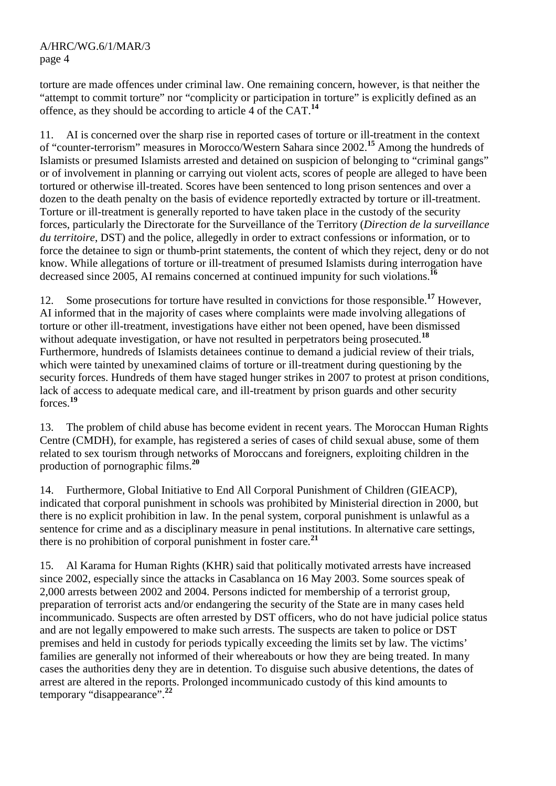torture are made offences under criminal law. One remaining concern, however, is that neither the "attempt to commit torture" nor "complicity or participation in torture" is explicitly defined as an offence, as they should be according to article 4 of the CAT.**<sup>14</sup>**

11. AI is concerned over the sharp rise in reported cases of torture or ill-treatment in the context of "counter-terrorism" measures in Morocco/Western Sahara since 2002.**<sup>15</sup>** Among the hundreds of Islamists or presumed Islamists arrested and detained on suspicion of belonging to "criminal gangs" or of involvement in planning or carrying out violent acts, scores of people are alleged to have been tortured or otherwise ill-treated. Scores have been sentenced to long prison sentences and over a dozen to the death penalty on the basis of evidence reportedly extracted by torture or ill-treatment. Torture or ill-treatment is generally reported to have taken place in the custody of the security forces, particularly the Directorate for the Surveillance of the Territory (*Direction de la surveillance du territoire*, DST) and the police, allegedly in order to extract confessions or information, or to force the detainee to sign or thumb-print statements, the content of which they reject, deny or do not know. While allegations of torture or ill-treatment of presumed Islamists during interrogation have decreased since 2005, AI remains concerned at continued impunity for such violations.**<sup>16</sup>**

12. Some prosecutions for torture have resulted in convictions for those responsible.**<sup>17</sup>** However, AI informed that in the majority of cases where complaints were made involving allegations of torture or other ill-treatment, investigations have either not been opened, have been dismissed without adequate investigation, or have not resulted in perpetrators being prosecuted.<sup>18</sup> Furthermore, hundreds of Islamists detainees continue to demand a judicial review of their trials, which were tainted by unexamined claims of torture or ill-treatment during questioning by the security forces. Hundreds of them have staged hunger strikes in 2007 to protest at prison conditions, lack of access to adequate medical care, and ill-treatment by prison guards and other security forces.**<sup>19</sup>**

13. The problem of child abuse has become evident in recent years. The Moroccan Human Rights Centre (CMDH), for example, has registered a series of cases of child sexual abuse, some of them related to sex tourism through networks of Moroccans and foreigners, exploiting children in the production of pornographic films.**<sup>20</sup>**

14. Furthermore, Global Initiative to End All Corporal Punishment of Children (GIEACP), indicated that corporal punishment in schools was prohibited by Ministerial direction in 2000, but there is no explicit prohibition in law. In the penal system, corporal punishment is unlawful as a sentence for crime and as a disciplinary measure in penal institutions. In alternative care settings, there is no prohibition of corporal punishment in foster care.**<sup>21</sup>**

15. Al Karama for Human Rights (KHR) said that politically motivated arrests have increased since 2002, especially since the attacks in Casablanca on 16 May 2003. Some sources speak of 2,000 arrests between 2002 and 2004. Persons indicted for membership of a terrorist group, preparation of terrorist acts and/or endangering the security of the State are in many cases held incommunicado. Suspects are often arrested by DST officers, who do not have judicial police status and are not legally empowered to make such arrests. The suspects are taken to police or DST premises and held in custody for periods typically exceeding the limits set by law. The victims' families are generally not informed of their whereabouts or how they are being treated. In many cases the authorities deny they are in detention. To disguise such abusive detentions, the dates of arrest are altered in the reports. Prolonged incommunicado custody of this kind amounts to temporary "disappearance".**<sup>22</sup>**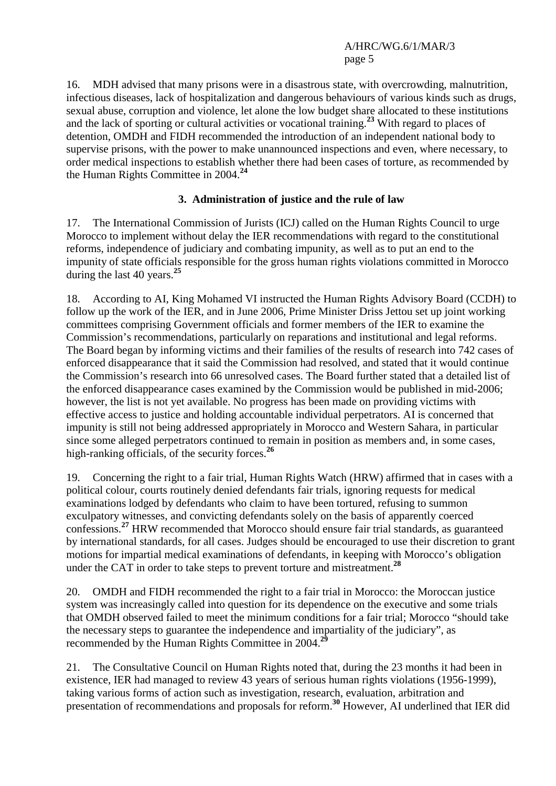16. MDH advised that many prisons were in a disastrous state, with overcrowding, malnutrition, infectious diseases, lack of hospitalization and dangerous behaviours of various kinds such as drugs, sexual abuse, corruption and violence, let alone the low budget share allocated to these institutions and the lack of sporting or cultural activities or vocational training.**<sup>23</sup>** With regard to places of detention, OMDH and FIDH recommended the introduction of an independent national body to supervise prisons, with the power to make unannounced inspections and even, where necessary, to order medical inspections to establish whether there had been cases of torture, as recommended by the Human Rights Committee in 2004.**<sup>24</sup>**

#### **3. Administration of justice and the rule of law**

17. The International Commission of Jurists (ICJ) called on the Human Rights Council to urge Morocco to implement without delay the IER recommendations with regard to the constitutional reforms, independence of judiciary and combating impunity, as well as to put an end to the impunity of state officials responsible for the gross human rights violations committed in Morocco during the last 40 years.**<sup>25</sup>**

18. According to AI, King Mohamed VI instructed the Human Rights Advisory Board (CCDH) to follow up the work of the IER, and in June 2006, Prime Minister Driss Jettou set up joint working committees comprising Government officials and former members of the IER to examine the Commission's recommendations, particularly on reparations and institutional and legal reforms. The Board began by informing victims and their families of the results of research into 742 cases of enforced disappearance that it said the Commission had resolved, and stated that it would continue the Commission's research into 66 unresolved cases. The Board further stated that a detailed list of the enforced disappearance cases examined by the Commission would be published in mid-2006; however, the list is not yet available. No progress has been made on providing victims with effective access to justice and holding accountable individual perpetrators. AI is concerned that impunity is still not being addressed appropriately in Morocco and Western Sahara, in particular since some alleged perpetrators continued to remain in position as members and, in some cases, high-ranking officials, of the security forces.**<sup>26</sup>**

19. Concerning the right to a fair trial, Human Rights Watch (HRW) affirmed that in cases with a political colour, courts routinely denied defendants fair trials, ignoring requests for medical examinations lodged by defendants who claim to have been tortured, refusing to summon exculpatory witnesses, and convicting defendants solely on the basis of apparently coerced confessions.**<sup>27</sup>** HRW recommended that Morocco should ensure fair trial standards, as guaranteed by international standards, for all cases. Judges should be encouraged to use their discretion to grant motions for impartial medical examinations of defendants, in keeping with Morocco's obligation under the CAT in order to take steps to prevent torture and mistreatment.**<sup>28</sup>**

20. OMDH and FIDH recommended the right to a fair trial in Morocco: the Moroccan justice system was increasingly called into question for its dependence on the executive and some trials that OMDH observed failed to meet the minimum conditions for a fair trial; Morocco "should take the necessary steps to guarantee the independence and impartiality of the judiciary", as recommended by the Human Rights Committee in 2004.**<sup>29</sup>**

21. The Consultative Council on Human Rights noted that, during the 23 months it had been in existence, IER had managed to review 43 years of serious human rights violations (1956-1999), taking various forms of action such as investigation, research, evaluation, arbitration and presentation of recommendations and proposals for reform.**<sup>30</sup>** However, AI underlined that IER did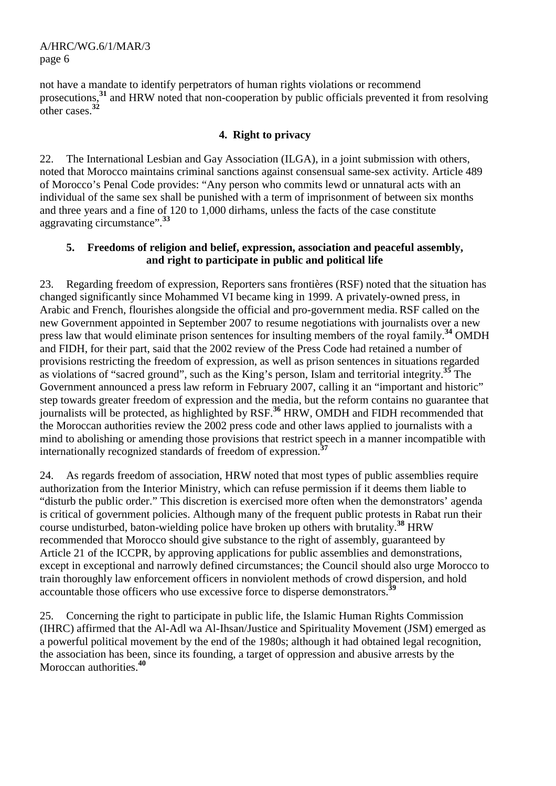not have a mandate to identify perpetrators of human rights violations or recommend prosecutions,**<sup>31</sup>** and HRW noted that non-cooperation by public officials prevented it from resolving other cases  $32$ 

#### **4. Right to privacy**

22. The International Lesbian and Gay Association (ILGA), in a joint submission with others, noted that Morocco maintains criminal sanctions against consensual same-sex activity. Article 489 of Morocco's Penal Code provides: "Any person who commits lewd or unnatural acts with an individual of the same sex shall be punished with a term of imprisonment of between six months and three years and a fine of 120 to 1,000 dirhams, unless the facts of the case constitute aggravating circumstance".**<sup>33</sup>**

#### **5. Freedoms of religion and belief, expression, association and peaceful assembly, and right to participate in public and political life**

23. Regarding freedom of expression, Reporters sans frontières (RSF) noted that the situation has changed significantly since Mohammed VI became king in 1999. A privately-owned press, in Arabic and French, flourishes alongside the official and pro-government media. RSF called on the new Government appointed in September 2007 to resume negotiations with journalists over a new press law that would eliminate prison sentences for insulting members of the royal family.**<sup>34</sup>** OMDH and FIDH, for their part, said that the 2002 review of the Press Code had retained a number of provisions restricting the freedom of expression, as well as prison sentences in situations regarded as violations of "sacred ground", such as the King's person, Islam and territorial integrity.**<sup>35</sup>** The Government announced a press law reform in February 2007, calling it an "important and historic" step towards greater freedom of expression and the media, but the reform contains no guarantee that journalists will be protected, as highlighted by RSF.**<sup>36</sup>** HRW, OMDH and FIDH recommended that the Moroccan authorities review the 2002 press code and other laws applied to journalists with a mind to abolishing or amending those provisions that restrict speech in a manner incompatible with internationally recognized standards of freedom of expression.**<sup>37</sup>**

24. As regards freedom of association, HRW noted that most types of public assemblies require authorization from the Interior Ministry, which can refuse permission if it deems them liable to "disturb the public order." This discretion is exercised more often when the demonstrators' agenda is critical of government policies. Although many of the frequent public protests in Rabat run their course undisturbed, baton-wielding police have broken up others with brutality.**<sup>38</sup>** HRW recommended that Morocco should give substance to the right of assembly, guaranteed by Article 21 of the ICCPR, by approving applications for public assemblies and demonstrations, except in exceptional and narrowly defined circumstances; the Council should also urge Morocco to train thoroughly law enforcement officers in nonviolent methods of crowd dispersion, and hold accountable those officers who use excessive force to disperse demonstrators.<sup>3</sup>

25. Concerning the right to participate in public life, the Islamic Human Rights Commission (IHRC) affirmed that the Al-Adl wa Al-Ihsan/Justice and Spirituality Movement (JSM) emerged as a powerful political movement by the end of the 1980s; although it had obtained legal recognition, the association has been, since its founding, a target of oppression and abusive arrests by the Moroccan authorities.**<sup>40</sup>**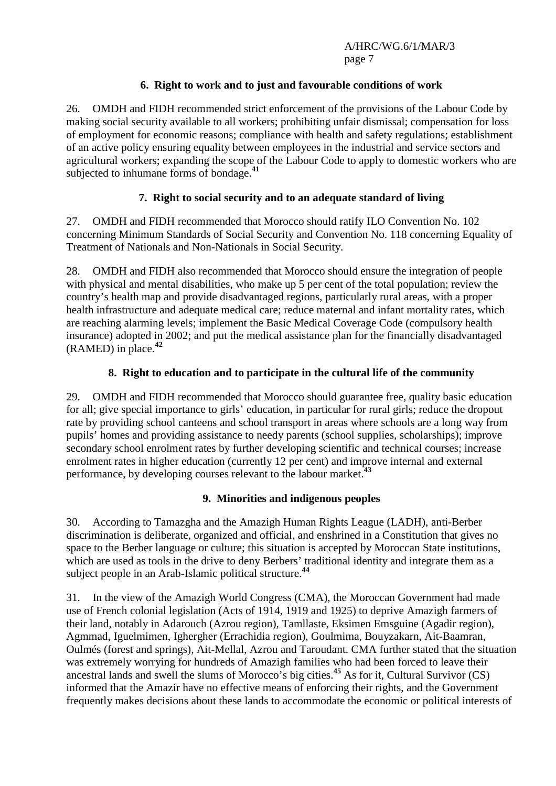#### **6. Right to work and to just and favourable conditions of work**

26. OMDH and FIDH recommended strict enforcement of the provisions of the Labour Code by making social security available to all workers; prohibiting unfair dismissal; compensation for loss of employment for economic reasons; compliance with health and safety regulations; establishment of an active policy ensuring equality between employees in the industrial and service sectors and agricultural workers; expanding the scope of the Labour Code to apply to domestic workers who are subjected to inhumane forms of bondage.**<sup>41</sup>**

#### **7. Right to social security and to an adequate standard of living**

27. OMDH and FIDH recommended that Morocco should ratify ILO Convention No. 102 concerning Minimum Standards of Social Security and Convention No. 118 concerning Equality of Treatment of Nationals and Non-Nationals in Social Security.

28. OMDH and FIDH also recommended that Morocco should ensure the integration of people with physical and mental disabilities, who make up 5 per cent of the total population; review the country's health map and provide disadvantaged regions, particularly rural areas, with a proper health infrastructure and adequate medical care; reduce maternal and infant mortality rates, which are reaching alarming levels; implement the Basic Medical Coverage Code (compulsory health insurance) adopted in 2002; and put the medical assistance plan for the financially disadvantaged (RAMED) in place.**<sup>42</sup>**

#### **8. Right to education and to participate in the cultural life of the community**

29. OMDH and FIDH recommended that Morocco should guarantee free, quality basic education for all; give special importance to girls' education, in particular for rural girls; reduce the dropout rate by providing school canteens and school transport in areas where schools are a long way from pupils' homes and providing assistance to needy parents (school supplies, scholarships); improve secondary school enrolment rates by further developing scientific and technical courses; increase enrolment rates in higher education (currently 12 per cent) and improve internal and external performance, by developing courses relevant to the labour market.**<sup>43</sup>**

#### **9. Minorities and indigenous peoples**

30. According to Tamazgha and the Amazigh Human Rights League (LADH), anti-Berber discrimination is deliberate, organized and official, and enshrined in a Constitution that gives no space to the Berber language or culture; this situation is accepted by Moroccan State institutions, which are used as tools in the drive to deny Berbers' traditional identity and integrate them as a subject people in an Arab-Islamic political structure.**<sup>44</sup>**

31. In the view of the Amazigh World Congress (CMA), the Moroccan Government had made use of French colonial legislation (Acts of 1914, 1919 and 1925) to deprive Amazigh farmers of their land, notably in Adarouch (Azrou region), Tamllaste, Eksimen Emsguine (Agadir region), Agmmad, Iguelmimen, Ighergher (Errachidia region), Goulmima, Bouyzakarn, Ait-Baamran, Oulmés (forest and springs), Ait-Mellal, Azrou and Taroudant. CMA further stated that the situation was extremely worrying for hundreds of Amazigh families who had been forced to leave their ancestral lands and swell the slums of Morocco's big cities.**<sup>45</sup>** As for it, Cultural Survivor (CS) informed that the Amazir have no effective means of enforcing their rights, and the Government frequently makes decisions about these lands to accommodate the economic or political interests of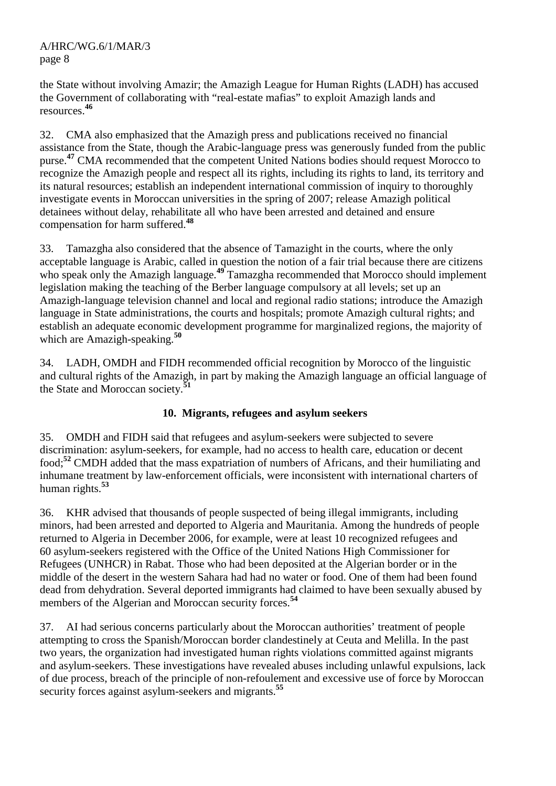the State without involving Amazir; the Amazigh League for Human Rights (LADH) has accused the Government of collaborating with "real-estate mafias" to exploit Amazigh lands and resources.**<sup>46</sup>**

32. CMA also emphasized that the Amazigh press and publications received no financial assistance from the State, though the Arabic-language press was generously funded from the public purse.<sup>47</sup> CMA recommended that the competent United Nations bodies should request Morocco to recognize the Amazigh people and respect all its rights, including its rights to land, its territory and its natural resources; establish an independent international commission of inquiry to thoroughly investigate events in Moroccan universities in the spring of 2007; release Amazigh political detainees without delay, rehabilitate all who have been arrested and detained and ensure compensation for harm suffered.**<sup>48</sup>**

33. Tamazgha also considered that the absence of Tamazight in the courts, where the only acceptable language is Arabic, called in question the notion of a fair trial because there are citizens who speak only the Amazigh language.<sup>49</sup> Tamazgha recommended that Morocco should implement legislation making the teaching of the Berber language compulsory at all levels; set up an Amazigh-language television channel and local and regional radio stations; introduce the Amazigh language in State administrations, the courts and hospitals; promote Amazigh cultural rights; and establish an adequate economic development programme for marginalized regions, the majority of which are Amazigh-speaking.**<sup>50</sup>**

34. LADH, OMDH and FIDH recommended official recognition by Morocco of the linguistic and cultural rights of the Amazigh, in part by making the Amazigh language an official language of the State and Moroccan society.<sup>5</sup>

#### **10. Migrants, refugees and asylum seekers**

35. OMDH and FIDH said that refugees and asylum-seekers were subjected to severe discrimination: asylum-seekers, for example, had no access to health care, education or decent food;**<sup>52</sup>** CMDH added that the mass expatriation of numbers of Africans, and their humiliating and inhumane treatment by law-enforcement officials, were inconsistent with international charters of human rights.**<sup>53</sup>**

36. KHR advised that thousands of people suspected of being illegal immigrants, including minors, had been arrested and deported to Algeria and Mauritania. Among the hundreds of people returned to Algeria in December 2006, for example, were at least 10 recognized refugees and 60 asylum-seekers registered with the Office of the United Nations High Commissioner for Refugees (UNHCR) in Rabat. Those who had been deposited at the Algerian border or in the middle of the desert in the western Sahara had had no water or food. One of them had been found dead from dehydration. Several deported immigrants had claimed to have been sexually abused by members of the Algerian and Moroccan security forces.**<sup>54</sup>**

37. AI had serious concerns particularly about the Moroccan authorities' treatment of people attempting to cross the Spanish/Moroccan border clandestinely at Ceuta and Melilla. In the past two years, the organization had investigated human rights violations committed against migrants and asylum-seekers. These investigations have revealed abuses including unlawful expulsions, lack of due process, breach of the principle of non-refoulement and excessive use of force by Moroccan security forces against asylum-seekers and migrants.**<sup>55</sup>**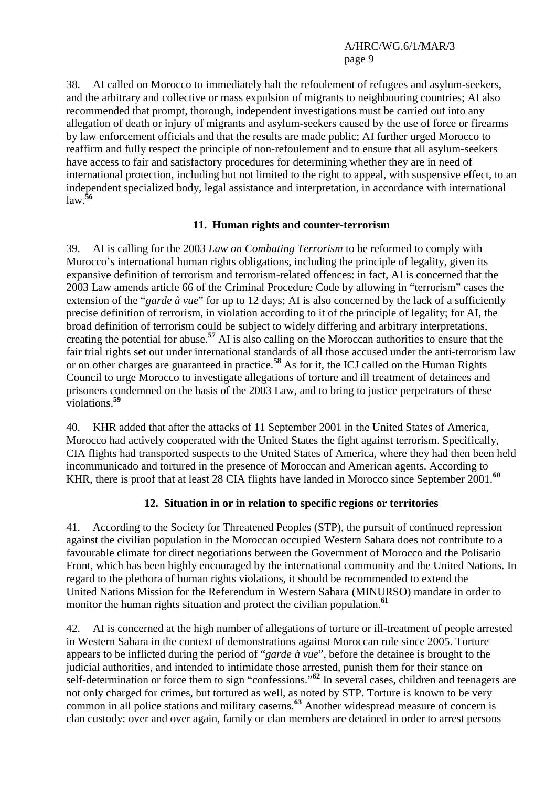38. AI called on Morocco to immediately halt the refoulement of refugees and asylum-seekers, and the arbitrary and collective or mass expulsion of migrants to neighbouring countries; AI also recommended that prompt, thorough, independent investigations must be carried out into any allegation of death or injury of migrants and asylum-seekers caused by the use of force or firearms by law enforcement officials and that the results are made public; AI further urged Morocco to reaffirm and fully respect the principle of non-refoulement and to ensure that all asylum-seekers have access to fair and satisfactory procedures for determining whether they are in need of international protection, including but not limited to the right to appeal, with suspensive effect, to an independent specialized body, legal assistance and interpretation, in accordance with international law.**<sup>56</sup>**

#### **11. Human rights and counter-terrorism**

39. AI is calling for the 2003 *Law on Combating Terrorism* to be reformed to comply with Morocco's international human rights obligations, including the principle of legality, given its expansive definition of terrorism and terrorism-related offences: in fact, AI is concerned that the 2003 Law amends article 66 of the Criminal Procedure Code by allowing in "terrorism" cases the extension of the "*garde à vue*" for up to 12 days; AI is also concerned by the lack of a sufficiently precise definition of terrorism, in violation according to it of the principle of legality; for AI, the broad definition of terrorism could be subject to widely differing and arbitrary interpretations, creating the potential for abuse.**<sup>57</sup>** AI is also calling on the Moroccan authorities to ensure that the fair trial rights set out under international standards of all those accused under the anti-terrorism law or on other charges are guaranteed in practice.**<sup>58</sup>** As for it, the ICJ called on the Human Rights Council to urge Morocco to investigate allegations of torture and ill treatment of detainees and prisoners condemned on the basis of the 2003 Law, and to bring to justice perpetrators of these violations.**<sup>59</sup>**

40. KHR added that after the attacks of 11 September 2001 in the United States of America, Morocco had actively cooperated with the United States the fight against terrorism. Specifically, CIA flights had transported suspects to the United States of America, where they had then been held incommunicado and tortured in the presence of Moroccan and American agents. According to KHR, there is proof that at least 28 CIA flights have landed in Morocco since September 2001.<sup>60</sup>

#### **12. Situation in or in relation to specific regions or territories**

41. According to the Society for Threatened Peoples (STP), the pursuit of continued repression against the civilian population in the Moroccan occupied Western Sahara does not contribute to a favourable climate for direct negotiations between the Government of Morocco and the Polisario Front, which has been highly encouraged by the international community and the United Nations. In regard to the plethora of human rights violations, it should be recommended to extend the United Nations Mission for the Referendum in Western Sahara (MINURSO) mandate in order to monitor the human rights situation and protect the civilian population.<sup>61</sup>

42. AI is concerned at the high number of allegations of torture or ill-treatment of people arrested in Western Sahara in the context of demonstrations against Moroccan rule since 2005. Torture appears to be inflicted during the period of "*garde à vue*", before the detainee is brought to the judicial authorities, and intended to intimidate those arrested, punish them for their stance on self-determination or force them to sign "confessions."**<sup>62</sup>** In several cases, children and teenagers are not only charged for crimes, but tortured as well, as noted by STP. Torture is known to be very common in all police stations and military caserns.**<sup>63</sup>** Another widespread measure of concern is clan custody: over and over again, family or clan members are detained in order to arrest persons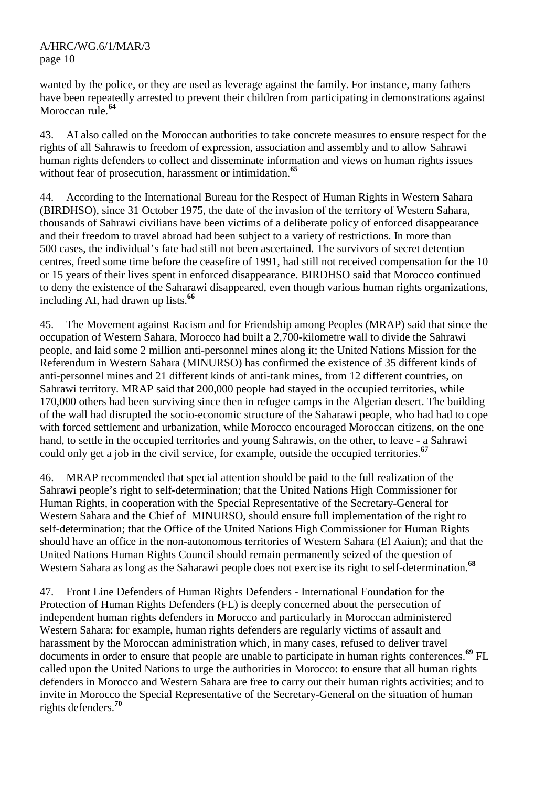wanted by the police, or they are used as leverage against the family. For instance, many fathers have been repeatedly arrested to prevent their children from participating in demonstrations against Moroccan rule.**<sup>64</sup>**

43. AI also called on the Moroccan authorities to take concrete measures to ensure respect for the rights of all Sahrawis to freedom of expression, association and assembly and to allow Sahrawi human rights defenders to collect and disseminate information and views on human rights issues without fear of prosecution, harassment or intimidation.**<sup>65</sup>**

44. According to the International Bureau for the Respect of Human Rights in Western Sahara (BIRDHSO), since 31 October 1975, the date of the invasion of the territory of Western Sahara, thousands of Sahrawi civilians have been victims of a deliberate policy of enforced disappearance and their freedom to travel abroad had been subject to a variety of restrictions. In more than 500 cases, the individual's fate had still not been ascertained. The survivors of secret detention centres, freed some time before the ceasefire of 1991, had still not received compensation for the 10 or 15 years of their lives spent in enforced disappearance. BIRDHSO said that Morocco continued to deny the existence of the Saharawi disappeared, even though various human rights organizations, including AI, had drawn up lists.**<sup>66</sup>**

45. The Movement against Racism and for Friendship among Peoples (MRAP) said that since the occupation of Western Sahara, Morocco had built a 2,700-kilometre wall to divide the Sahrawi people, and laid some 2 million anti-personnel mines along it; the United Nations Mission for the Referendum in Western Sahara (MINURSO) has confirmed the existence of 35 different kinds of anti-personnel mines and 21 different kinds of anti-tank mines, from 12 different countries, on Sahrawi territory. MRAP said that 200,000 people had stayed in the occupied territories, while 170,000 others had been surviving since then in refugee camps in the Algerian desert. The building of the wall had disrupted the socio-economic structure of the Saharawi people, who had had to cope with forced settlement and urbanization, while Morocco encouraged Moroccan citizens, on the one hand, to settle in the occupied territories and young Sahrawis, on the other, to leave - a Sahrawi could only get a job in the civil service, for example, outside the occupied territories.**<sup>67</sup>**

46. MRAP recommended that special attention should be paid to the full realization of the Sahrawi people's right to self-determination; that the United Nations High Commissioner for Human Rights, in cooperation with the Special Representative of the Secretary-General for Western Sahara and the Chief of MINURSO, should ensure full implementation of the right to self-determination; that the Office of the United Nations High Commissioner for Human Rights should have an office in the non-autonomous territories of Western Sahara (El Aaiun); and that the United Nations Human Rights Council should remain permanently seized of the question of Western Sahara as long as the Saharawi people does not exercise its right to self-determination.**<sup>68</sup>**

47. Front Line Defenders of Human Rights Defenders - International Foundation for the Protection of Human Rights Defenders (FL) is deeply concerned about the persecution of independent human rights defenders in Morocco and particularly in Moroccan administered Western Sahara: for example, human rights defenders are regularly victims of assault and harassment by the Moroccan administration which, in many cases, refused to deliver travel documents in order to ensure that people are unable to participate in human rights conferences.**<sup>69</sup>** FL called upon the United Nations to urge the authorities in Morocco: to ensure that all human rights defenders in Morocco and Western Sahara are free to carry out their human rights activities; and to invite in Morocco the Special Representative of the Secretary-General on the situation of human rights defenders.**<sup>70</sup>**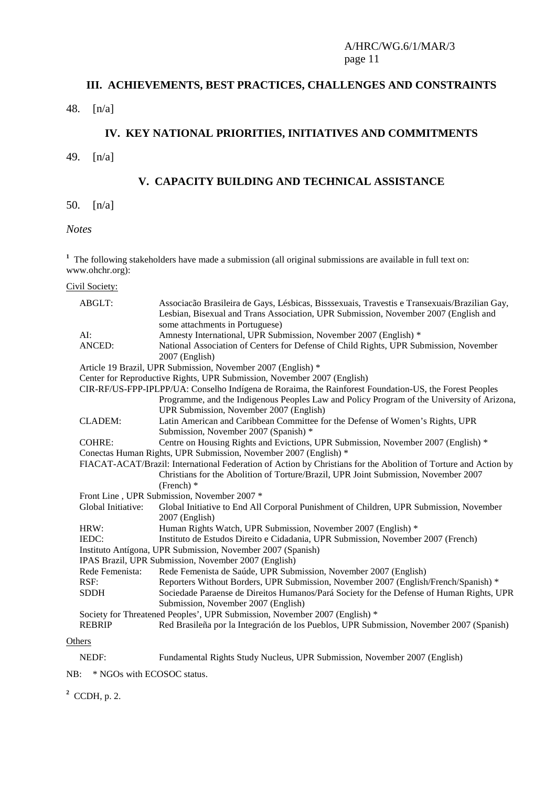# **III. ACHIEVEMENTS, BEST PRACTICES, CHALLENGES AND CONSTRAINTS**

### 48. [n/a]

#### **IV. KEY NATIONAL PRIORITIES, INITIATIVES AND COMMITMENTS**

49. [n/a]

#### **V. CAPACITY BUILDING AND TECHNICAL ASSISTANCE**

50. [n/a]

*Notes* 

<sup>1</sup> The following stakeholders have made a submission (all original submissions are available in full text on: www.ohchr.org):

#### Civil Society:

|        | ABGLT:             | Associação Brasileira de Gays, Lésbicas, Bisssexuais, Travestis e Transexuais/Brazilian Gay,                                          |  |
|--------|--------------------|---------------------------------------------------------------------------------------------------------------------------------------|--|
|        |                    | Lesbian, Bisexual and Trans Association, UPR Submission, November 2007 (English and<br>some attachments in Portuguese)                |  |
|        | AI:                | Amnesty International, UPR Submission, November 2007 (English) *                                                                      |  |
|        | ANCED:             | National Association of Centers for Defense of Child Rights, UPR Submission, November                                                 |  |
|        |                    | 2007 (English)                                                                                                                        |  |
|        |                    | Article 19 Brazil, UPR Submission, November 2007 (English) *                                                                          |  |
|        |                    | Center for Reproductive Rights, UPR Submission, November 2007 (English)                                                               |  |
|        |                    | CIR-RF/US-FPP-IPLPP/UA: Conselho Indígena de Roraima, the Rainforest Foundation-US, the Forest Peoples                                |  |
|        |                    | Programme, and the Indigenous Peoples Law and Policy Program of the University of Arizona,<br>UPR Submission, November 2007 (English) |  |
|        | <b>CLADEM:</b>     | Latin American and Caribbean Committee for the Defense of Women's Rights, UPR                                                         |  |
|        |                    | Submission, November 2007 (Spanish) *                                                                                                 |  |
|        | <b>COHRE:</b>      | Centre on Housing Rights and Evictions, UPR Submission, November 2007 (English) *                                                     |  |
|        |                    | Conectas Human Rights, UPR Submission, November 2007 (English) *                                                                      |  |
|        |                    | FIACAT-ACAT/Brazil: International Federation of Action by Christians for the Abolition of Torture and Action by                       |  |
|        |                    | Christians for the Abolition of Torture/Brazil, UPR Joint Submission, November 2007<br>(French) $*$                                   |  |
|        |                    | Front Line, UPR Submission, November 2007 *                                                                                           |  |
|        | Global Initiative: | Global Initiative to End All Corporal Punishment of Children, UPR Submission, November                                                |  |
|        |                    | 2007 (English)                                                                                                                        |  |
|        | HRW:               | Human Rights Watch, UPR Submission, November 2007 (English) *                                                                         |  |
|        | IEDC:              | Instituto de Estudos Direito e Cidadania, UPR Submission, November 2007 (French)                                                      |  |
|        |                    | Instituto Antígona, UPR Submission, November 2007 (Spanish)                                                                           |  |
|        |                    | IPAS Brazil, UPR Submission, November 2007 (English)                                                                                  |  |
|        | Rede Femenista:    | Rede Femenista de Saúde, UPR Submission, November 2007 (English)                                                                      |  |
|        | RSF:               | Reporters Without Borders, UPR Submission, November 2007 (English/French/Spanish) *                                                   |  |
|        | <b>SDDH</b>        | Sociedade Paraense de Direitos Humanos/Pará Society for the Defense of Human Rights, UPR                                              |  |
|        |                    | Submission, November 2007 (English)                                                                                                   |  |
|        |                    | Society for Threatened Peoples', UPR Submission, November 2007 (English) *                                                            |  |
|        | <b>REBRIP</b>      | Red Brasileña por la Integración de los Pueblos, UPR Submission, November 2007 (Spanish)                                              |  |
| Others |                    |                                                                                                                                       |  |
|        | NEDF:              | Fundamental Rights Study Nucleus, UPR Submission, November 2007 (English)                                                             |  |

NB: \* NGOs with ECOSOC status.

**2** CCDH, p. 2.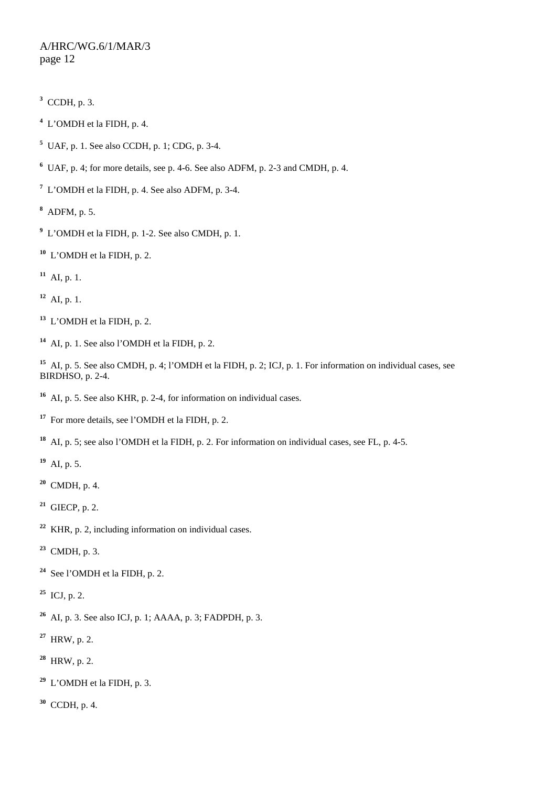- CCDH, p. 3.
- L'OMDH et la FIDH, p. 4.
- UAF, p. 1. See also CCDH, p. 1; CDG, p. 3-4.
- UAF, p. 4; for more details, see p. 4-6. See also ADFM, p. 2-3 and CMDH, p. 4.
- L'OMDH et la FIDH, p. 4. See also ADFM, p. 3-4.
- ADFM, p. 5.
- L'OMDH et la FIDH, p. 1-2. See also CMDH, p. 1.
- L'OMDH et la FIDH, p. 2.
- AI, p. 1.
- AI, p. 1.
- L'OMDH et la FIDH, p. 2.
- AI, p. 1. See also l'OMDH et la FIDH, p. 2.

 AI, p. 5. See also CMDH, p. 4; l'OMDH et la FIDH, p. 2; ICJ, p. 1. For information on individual cases, see BIRDHSO, p. 2-4.

- AI, p. 5. See also KHR, p. 2-4, for information on individual cases.
- For more details, see l'OMDH et la FIDH, p. 2.
- AI, p. 5; see also l'OMDH et la FIDH, p. 2. For information on individual cases, see FL, p. 4-5.
- AI, p. 5.
- CMDH, p. 4.
- GIECP, p. 2.
- KHR, p. 2, including information on individual cases.
- CMDH, p. 3.
- See l'OMDH et la FIDH, p. 2.
- ICJ, p. 2.
- AI, p. 3. See also ICJ, p. 1; AAAA, p. 3; FADPDH, p. 3.
- HRW, p. 2.
- HRW, p. 2.
- L'OMDH et la FIDH, p. 3.
- CCDH, p. 4.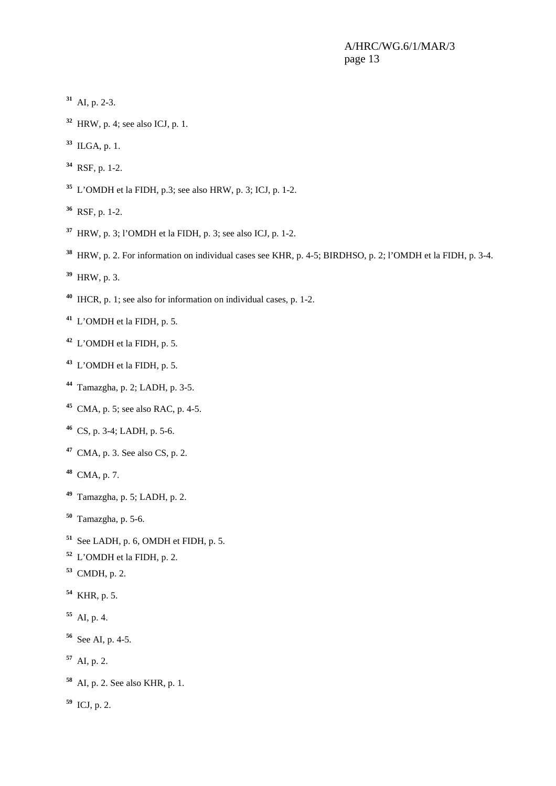- AI, p. 2-3.
- HRW, p. 4; see also ICJ, p. 1.
- ILGA, p. 1.
- RSF, p. 1-2.
- L'OMDH et la FIDH, p.3; see also HRW, p. 3; ICJ, p. 1-2.
- RSF, p. 1-2.
- HRW, p. 3; l'OMDH et la FIDH, p. 3; see also ICJ, p. 1-2.
- HRW, p. 2. For information on individual cases see KHR, p. 4-5; BIRDHSO, p. 2; l'OMDH et la FIDH, p. 3-4.
- HRW, p. 3.
- IHCR, p. 1; see also for information on individual cases, p. 1-2.
- L'OMDH et la FIDH, p. 5.
- L'OMDH et la FIDH, p. 5.
- L'OMDH et la FIDH, p. 5.
- Tamazgha, p. 2; LADH, p. 3-5.
- CMA, p. 5; see also RAC, p. 4-5.
- CS, p. 3-4; LADH, p. 5-6.
- CMA, p. 3. See also CS, p. 2.
- CMA, p. 7.
- Tamazgha, p. 5; LADH, p. 2.
- Tamazgha, p. 5-6.
- See LADH, p. 6, OMDH et FIDH, p. 5.
- L'OMDH et la FIDH, p. 2.
- CMDH, p. 2.
- KHR, p. 5.
- AI, p. 4.
- See AI, p. 4-5.
- AI, p. 2.
- AI, p. 2. See also KHR, p. 1.
- ICJ, p. 2.